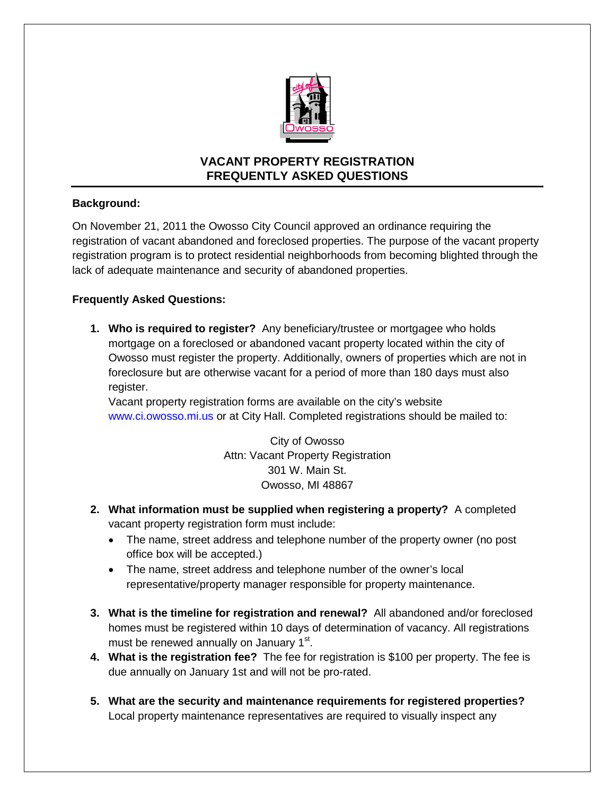

## **VACANT PROPERTY REGISTRATION FREQUENTLY ASKED QUESTIONS**

## **Background:**

On November 21, 2011 the Owosso City Council approved an ordinance requiring the registration of vacant abandoned and foreclosed properties. The purpose of the vacant property registration program is to protect residential neighborhoods from becoming blighted through the lack of adequate maintenance and security of abandoned properties.

## **Frequently Asked Questions:**

**1. Who is required to register?** Any beneficiary/trustee or mortgagee who holds mortgage on a foreclosed or abandoned vacant property located within the city of Owosso must register the property. Additionally, owners of properties which are not in foreclosure but are otherwise vacant for a period of more than 180 days must also register.

Vacant property registration forms are available on the city's website www.ci.owosso.mi.us or at City Hall. Completed registrations should be mailed to:

> City of Owosso Attn: Vacant Property Registration 301 W. Main St. Owosso, MI 48867

- **2. What information must be supplied when registering a property?** A completed vacant property registration form must include:
	- The name, street address and telephone number of the property owner (no post office box will be accepted.)
	- The name, street address and telephone number of the owner's local representative/property manager responsible for property maintenance.
- **3. What is the timeline for registration and renewal?** All abandoned and/or foreclosed homes must be registered within 10 days of determination of vacancy. All registrations must be renewed annually on January 1<sup>st</sup>.
- **4. What is the registration fee?** The fee for registration is \$100 per property. The fee is due annually on January 1st and will not be pro-rated.
- **5. What are the security and maintenance requirements for registered properties?**  Local property maintenance representatives are required to visually inspect any